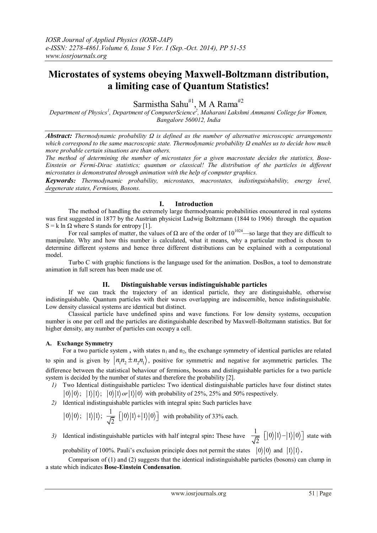# **Microstates of systems obeying Maxwell-Boltzmann distribution, a limiting case of Quantum Statistics!**

Sarmistha Sahu<sup>#1</sup>, M A Rama<sup>#2</sup>

*Department of Physics<sup>1</sup> , Department of ComputerScience 2 , Maharani Lakshmi Ammanni College for Women, Bangalore 560012, India*

*Abstract: Thermodynamic probability Ω is defined as the number of alternative microscopic arrangements which correspond to the same macroscopic state. Thermodynamic probability Ω enables us to decide how much more probable certain situations are than others.*

*The method of determining the number of microstates for a given macrostate decides the statistics, Bose-Einstein or Fermi-Dirac statistics; quantum or classical! The distribution of the particles in different microstates is demonstrated through animation with the help of computer graphics.*

*Keywords: Thermodynamic probability, microstates, macrostates, indistinguishability, energy level, degenerate states, Fermions, Bosons.*

#### **I. Introduction**

The method of handling the extremely large thermodynamic probabilities encountered in real systems was first suggested in 1877 by the Austrian physicist Ludwig Boltzmann (1844 to 1906) through the equation  $S = k \ln \Omega$  where S stands for entropy [1].

For real samples of [matter](javascript:void(0)), the values of  $\Omega$  are of the order of  $10^{1024}$ —so large that they are difficult to manipulate. Why and how this number is calculated, what it means, why a particular method is chosen to determine different systems and hence three different distributions can be explained with a computational model.

Turbo C with graphic functions is the language used for the animation. DosBox, a tool to demonstrate animation in full screen has been made use of.

#### **II. Distinguishable versus indistinguishable particles**

If we can track the trajectory of an identical particle, they are distinguishable, otherwise indistinguishable. Quantum particles with their waves overlapping are indiscernible, hence indistinguishable. Low density classical systems are identical but distinct.

Classical particle have undefined spins and wave functions. For low density systems, occupation number is one per cell and the particles are distinguishable described by Maxwell-Boltzmann statistics. But for higher density, any number of particles can occupy a cell.

#### **A. Exchange Symmetry**

For a two particle system, with states  $n_1$  and  $n_2$ , the exchange symmetry of identical particles are related to spin and is given by  $n_1n_2 \pm n_2n_1$ , positive for symmetric and negative for asymmetric particles. The difference between the statistical behaviour of fermions, bosons and distinguishable particles for a two particle system is decided by the number of states and therefore the probability [2].

- *1)* Two Identical distinguishable particles**:** Two identical distinguishable particles have four distinct states  $0$  o)  $|0\rangle$ ;  $|1\rangle|1\rangle$ ;  $|0\rangle|1\rangle$  or  $|1\rangle|0\rangle$  with probability of 25%, 25% and 50% respectively.
- *2)* Identical indistinguishable particles with integral spin**:** Such particles have

$$
\big| \hspace{.06cm} 0 \big\rangle \hspace{.06cm} ; \hspace{.2cm} \hspace{.2cm} \big| 1 \big\rangle \hspace{.06cm} ; \hspace{.2cm} \frac{1}{\sqrt{2}} \hspace{.2cm} \big[ \hspace{.06cm} \hspace{.06cm} 0 \big\rangle \hspace{.06cm} \big| 1 \big\rangle \hspace{.06cm} + \hspace{.06cm} \hspace{.06cm} \big| 1 \big\rangle \hspace{.06cm} \big| 0 \big\rangle \hspace{.06cm} \big]
$$
 with probability of 33% each.

3) Identical indistinguishable particles with half integral spin: These have  $\frac{1}{\sqrt{2}} \left[ |0\rangle |1\rangle - |1\rangle |0\rangle \right]$  $\frac{1}{2}$   $\left[ |0\rangle|1\rangle-|1\rangle|0\rangle \right]$  state with

probability of 100%. Pauli's exclusion principle does not permit the states  $|0\rangle|0\rangle$  and  $|1\rangle|1\rangle$ .

Comparison of (1) and (2) suggests that the identical indistinguishable particles (bosons) can clump in a state which indicates **Bose-Einstein Condensation**.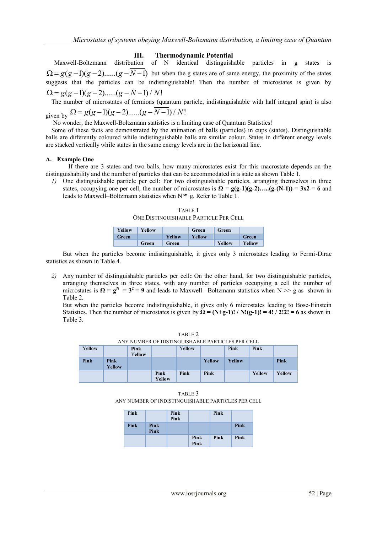#### **III. Thermodynamic Potential**

Maxwell-Boltzmann distribution of N identical distinguishable particles in g states is Maxwell-Boltzmann distribution of N identical distinguishable particles in g states is<br>  $\Omega = g(g-1)(g-2).....(g-N-1)$  but when the g states are of same energy, the proximity of the states suggests that the particles can be indistinguishable! Then the number of microstates is given by  $Q = g(g-1)(g-2)$ ...... $(g-N-1)/N!$ 

The number of microstates of fermions (quantum particle, indistinguishable with half integral spin) is also The number of microstates of fermions (quantum p<br>given by  $\Omega = g(g-1)(g-2)$ ...... $(g - N-1) / N!$ 

No wonder, the Maxwell-Boltzmann statistics is a limiting case of Quantum Statistics!

Some of these facts are demonstrated by the animation of balls (particles) in cups (states). Distinguishable balls are differently coloured while indistinguishable balls are similar colour. States in different energy levels are stacked vertically while states in the same energy levels are in the horizontal line.

#### **A. Example One**

If there are 3 states and two balls, how many microstates exist for this macrostate depends on the distinguishability and the number of particles that can be accommodated in a state as shown Table 1.

*1)* One distinguishable particle per cell: For two distinguishable particles, arranging themselves in three states, occupying one per cell, the number of microstates is  $\Omega = g(g-1)(g-2)$ ….. $(g-(N-1)) = 3x^2 = 6$  and leads to Maxwell–Boltzmann statistics when  $N \approx g$ . Refer to Table 1.

| ONE DISTINGUISHABLE PARTICLE PER CELL |        |        |        |        |        |
|---------------------------------------|--------|--------|--------|--------|--------|
| Yellow                                | Yellow |        | Green  | Green  |        |
| Green                                 |        | Yellow | Yellow |        | Green  |
|                                       | Green  | Green  |        | Yellow | Yellow |

TABLE 1

But when the particles become indistinguishable, it gives only 3 microstates leading to Fermi-Dirac statistics as shown in Table 4.

*2)* Any number of distinguishable particles per cell**:** On the other hand, for two distinguishable particles, arranging themselves in three states, with any number of particles occupying a cell the number of microstates is  $\Omega = g^N = 3^2 = 9$  and leads to Maxwell –Boltzmann statistics when  $N \gg g$  as shown in Table 2.

But when the particles become indistinguishable, it gives only 6 microstates leading to Bose-Einstein Statistics. Then the number of microstates is given by  $\Omega = (N+g-1)! / N!(g-1)! = 4! / 2!2! = 6$  as shown in Table 3.

TABLE 2 ANY NUMBER OF DISTINGUISHABLE PARTICLES PER CELL

| Yellow |                | Pink<br>Yellow |                | Yellow |        | Pink   | Pink   |        |
|--------|----------------|----------------|----------------|--------|--------|--------|--------|--------|
| Pink   | Pink<br>Yellow |                |                |        | Yellow | Yellow |        | Pink   |
|        |                |                | Pink<br>Yellow | Pink   | Pink   |        | Yellow | Yellow |

TABLE 3 ANY NUMBER OF INDISTINGUISHABLE PARTICLES PER CELL

| Pink |              | Pink<br>Pink |              | Pink |      |
|------|--------------|--------------|--------------|------|------|
| Pink | Pink<br>Pink |              |              |      | Pink |
|      |              |              | Pink<br>Pink | Pink | Pink |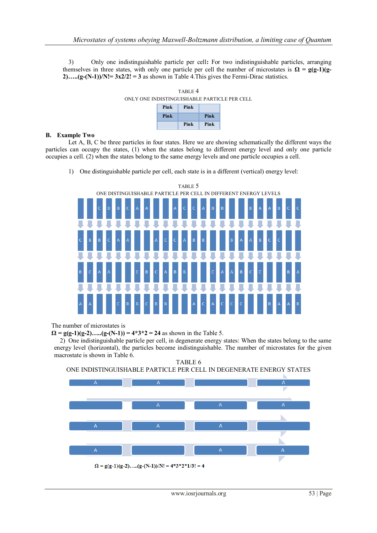3) Only one indistinguishable particle per cell**:** For two indistinguishable particles, arranging themselves in three states, with only one particle per cell the number of microstates is  $\Omega = g(g-1)(g-1)$ **2)…..(g-(N-1))/N!= 3x2/2! = 3** as shown in Table 4.This gives the Fermi-Dirac statistics.





#### **B. Example Two**

Let A, B, C be three particles in four states. Here we are showing schematically the different ways the particles can occupy the states, (1) when the states belong to different energy level and only one particle occupies a cell. (2) when the states belong to the same energy levels and one particle occupies a cell.

1) One distinguishable particle per cell, each state is in a different (vertical) energy level:



The number of microstates is

 $\Omega = g(g-1)(g-2)$ .... $(g-(N-1)) = 4*3*2 = 24$  as shown in the Table 5.

2) One indistinguishable particle per cell, in degenerate energy states: When the states belong to the same energy level (horizontal), the particles become indistinguishable. The number of microstates for the given macrostate is shown in Table 6.



TABLE 6 ONE INDISTINGUISHABLE PARTICLE PER CELL IN DEGENERATE ENERGY STATES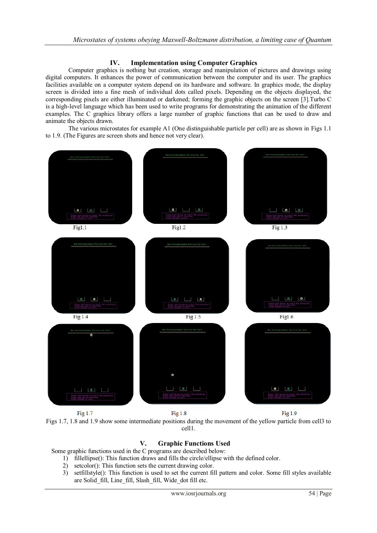## **IV. Implementation using Computer Graphics**

Computer graphics is nothing but creation, storage and manipulation of pictures and drawings using digital computers. It enhances the power of communication between the computer and its user. The graphics facilities available on a computer system depend on its hardware and software. In graphics mode, the display screen is divided into a fine mesh of individual dots called pixels. Depending on the objects displayed, the corresponding pixels are either illuminated or darkened; forming the graphic objects on the screen [3].Turbo C is a high-level language which has been used to write programs for demonstrating the animation of the different examples. The C graphics library offers a large number of graphic functions that can be used to draw and animate the objects drawn.

The various microstates for example A1 (One distinguishable particle per cell) are as shown in Figs 1.1 to 1.9. (The Figures are screen shots and hence not very clear).



Fig  $1.7$ Fig 1.8  $Fig 1.9$ Figs 1.7, 1.8 and 1.9 show some intermediate positions during the movement of the yellow particle from cell3 to cell1.

# **V. Graphic Functions Used**

Some graphic functions used in the C programs are described below:

- 1) fillellipse(): This function draws and fills the circle/ellipse with the defined color.
- 2) setcolor(): This function sets the current drawing color.
- 3) setfillstyle(): This function is used to set the current fill pattern and color. Some fill styles available are Solid\_fill, Line\_fill, Slash\_fill, Wide\_dot fill etc.